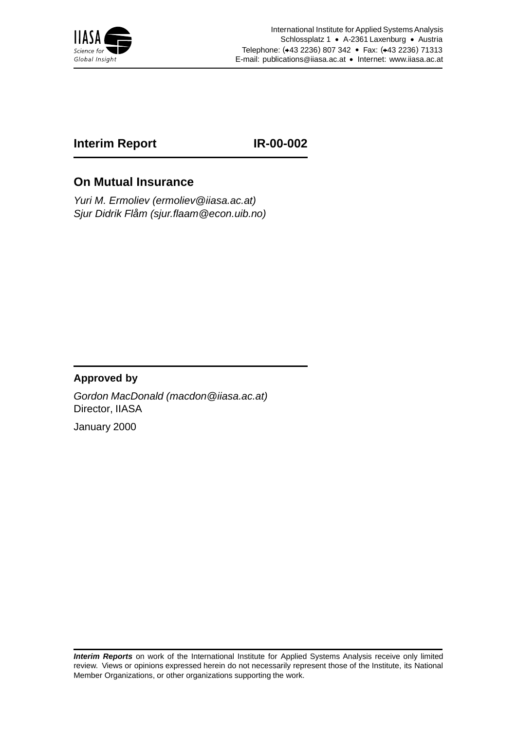

## **Interim Report IR-00-002**

## **On Mutual Insurance**

Yuri M. Ermoliev (ermoliev@iiasa.ac.at) Sjur Didrik Flåm (sjur.flaam@econ.uib.no)

### **Approved by**

Gordon MacDonald (macdon@iiasa.ac.at) Director, IIASA

January 2000

**Interim Reports** on work of the International Institute for Applied Systems Analysis receive only limited review. Views or opinions expressed herein do not necessarily represent those of the Institute, its National Member Organizations, or other organizations supporting the work.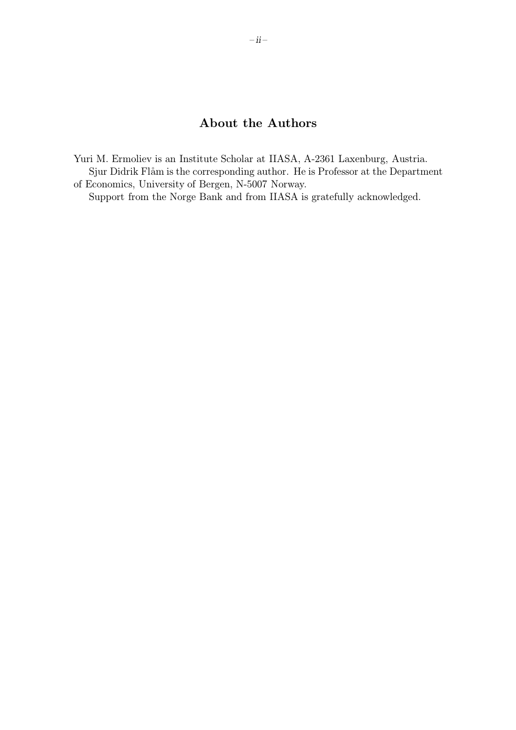## About the Authors

Yuri M. Ermoliev is an Institute Scholar at IIASA, A-2361 Laxenburg, Austria. Sjur Didrik Flåm is the corresponding author. He is Professor at the Department of Economics, University of Bergen, N-5007 Norway.

Support from the Norge Bank and from IIASA is gratefully acknowledged.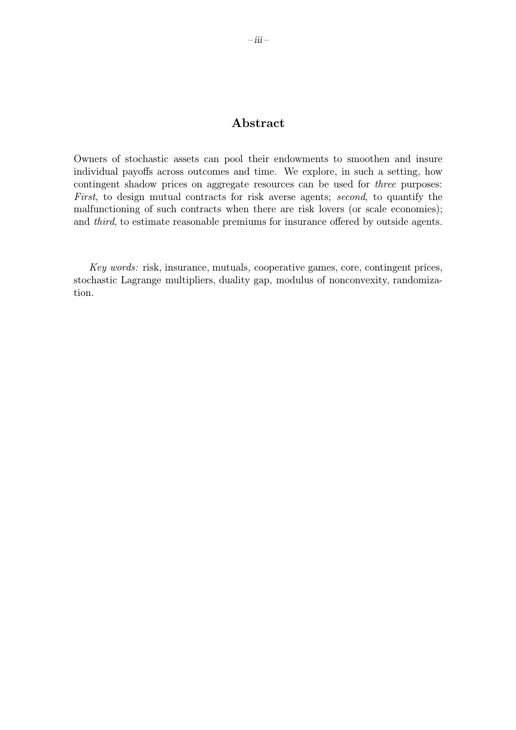### Abstract

Owners of stochastic assets can pool their endowments to smoothen and insure individual payoffs across outcomes and time. We explore, in such a setting, how contingent shadow prices on aggregate resources can be used for three purposes: First, to design mutual contracts for risk averse agents; second, to quantify the malfunctioning of such contracts when there are risk lovers (or scale economies); and third, to estimate reasonable premiums for insurance offered by outside agents.

Key words: risk, insurance, mutuals, cooperative games, core, contingent prices, stochastic Lagrange multipliers, duality gap, modulus of nonconvexity, randomization.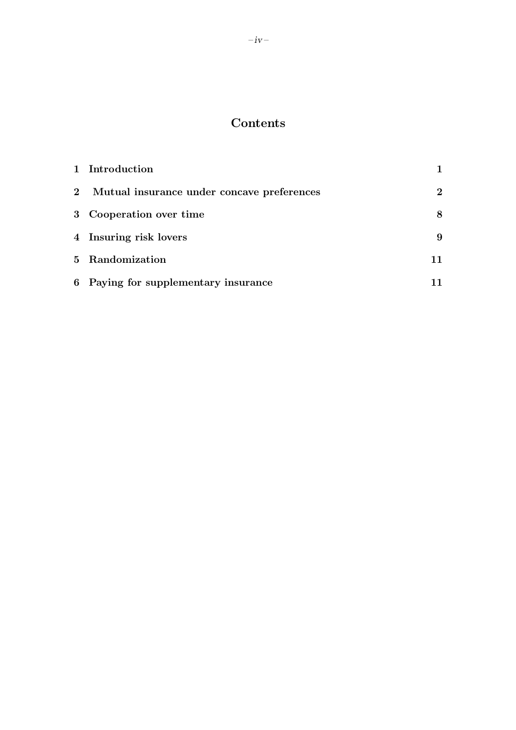# Contents

|                | 1 Introduction                             |             |
|----------------|--------------------------------------------|-------------|
| 2 <sub>2</sub> | Mutual insurance under concave preferences | $2^{\circ}$ |
|                | 3 Cooperation over time                    | 8           |
|                | 4 Insuring risk lovers                     | 9           |
|                | 5 Randomization                            |             |
|                | 6 Paying for supplementary insurance       |             |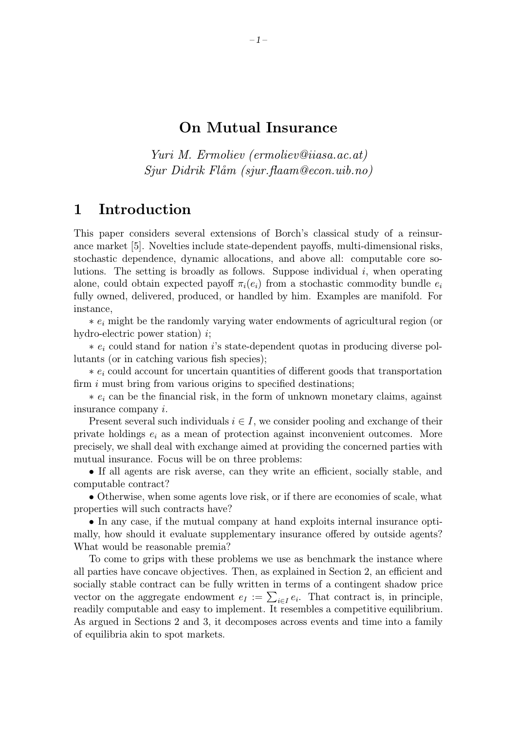### On Mutual Insurance

Yuri M. Ermoliev (ermoliev@iiasa.ac.at)  $S_j \in Didrik$  Flåm (sjur.flaam@econ.uib.no)

## 1 Introduction

This paper considers several extensions of Borch's classical study of a reinsurance market [5]. Novelties include state-dependent payoffs, multi-dimensional risks, stochastic dependence, dynamic allocations, and above all: computable core solutions. The setting is broadly as follows. Suppose individual  $i$ , when operating alone, could obtain expected payoff  $\pi_i(e_i)$  from a stochastic commodity bundle  $e_i$ fully owned, delivered, produced, or handled by him. Examples are manifold. For instance,

 $* e_i$  might be the randomly varying water endowments of agricultural region (or hydro-electric power station)  $i$ ;

 $* e_i$  could stand for nation is state-dependent quotas in producing diverse pollutants (or in catching various fish species);

 $* e_i$  could account for uncertain quantities of different goods that transportation firm  $i$  must bring from various origins to specified destinations;

 $* e_i$  can be the financial risk, in the form of unknown monetary claims, against insurance company i.

Present several such individuals  $i \in I$ , we consider pooling and exchange of their private holdings  $e_i$  as a mean of protection against inconvenient outcomes. More precisely, we shall deal with exchange aimed at providing the concerned parties with mutual insurance. Focus will be on three problems:

• If all agents are risk averse, can they write an efficient, socially stable, and computable contract?

• Otherwise, when some agents love risk, or if there are economies of scale, what properties will such contracts have?

• In any case, if the mutual company at hand exploits internal insurance optimally, how should it evaluate supplementary insurance offered by outside agents? What would be reasonable premia?

To come to grips with these problems we use as benchmark the instance where all parties have concave objectives. Then, as explained in Section 2, an efficient and socially stable contract can be fully written in terms of a contingent shadow price vector on the aggregate endowment  $e_I := \sum_{i \in I} e_i$ . That contract is, in principle, readily computable and easy to implement. It resembles a competitive equilibrium. As argued in Sections 2 and 3, it decomposes across events and time into a family of equilibria akin to spot markets.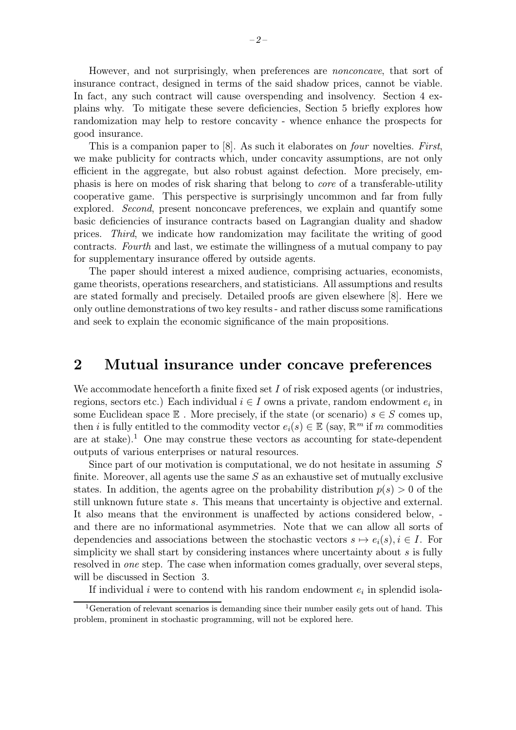However, and not surprisingly, when preferences are nonconcave, that sort of insurance contract, designed in terms of the said shadow prices, cannot be viable. In fact, any such contract will cause overspending and insolvency. Section 4 explains why. To mitigate these severe deficiencies, Section 5 briefly explores how randomization may help to restore concavity - whence enhance the prospects for good insurance.

This is a companion paper to [8]. As such it elaborates on four novelties. First, we make publicity for contracts which, under concavity assumptions, are not only efficient in the aggregate, but also robust against defection. More precisely, emphasis is here on modes of risk sharing that belong to core of a transferable-utility cooperative game. This perspective is surprisingly uncommon and far from fully explored. Second, present nonconcave preferences, we explain and quantify some basic deficiencies of insurance contracts based on Lagrangian duality and shadow prices. Third, we indicate how randomization may facilitate the writing of good contracts. Fourth and last, we estimate the willingness of a mutual company to pay for supplementary insurance offered by outside agents.

The paper should interest a mixed audience, comprising actuaries, economists, game theorists, operations researchers, and statisticians. All assumptions and results are stated formally and precisely. Detailed proofs are given elsewhere [8]. Here we only outline demonstrations of two key results - and rather discuss some ramifications and seek to explain the economic significance of the main propositions.

### 2 Mutual insurance under concave preferences

We accommodate henceforth a finite fixed set  $I$  of risk exposed agents (or industries, regions, sectors etc.) Each individual  $i \in I$  owns a private, random endowment  $e_i$  in some Euclidean space  $\mathbb E$ . More precisely, if the state (or scenario)  $s \in S$  comes up, then i is fully entitled to the commodity vector  $e_i(s) \in \mathbb{E}$  (say,  $\mathbb{R}^m$  if m commodities are at stake).<sup>1</sup> One may construe these vectors as accounting for state-dependent outputs of various enterprises or natural resources.

Since part of our motivation is computational, we do not hesitate in assuming S finite. Moreover, all agents use the same  $S$  as an exhaustive set of mutually exclusive states. In addition, the agents agree on the probability distribution  $p(s) > 0$  of the still unknown future state s. This means that uncertainty is objective and external. It also means that the environment is unaffected by actions considered below, and there are no informational asymmetries. Note that we can allow all sorts of dependencies and associations between the stochastic vectors  $s \mapsto e_i(s), i \in I$ . For simplicity we shall start by considering instances where uncertainty about s is fully resolved in one step. The case when information comes gradually, over several steps, will be discussed in Section 3.

If individual i were to contend with his random endowment  $e_i$  in splendid isola-

<sup>&</sup>lt;sup>1</sup>Generation of relevant scenarios is demanding since their number easily gets out of hand. This problem, prominent in stochastic programming, will not be explored here.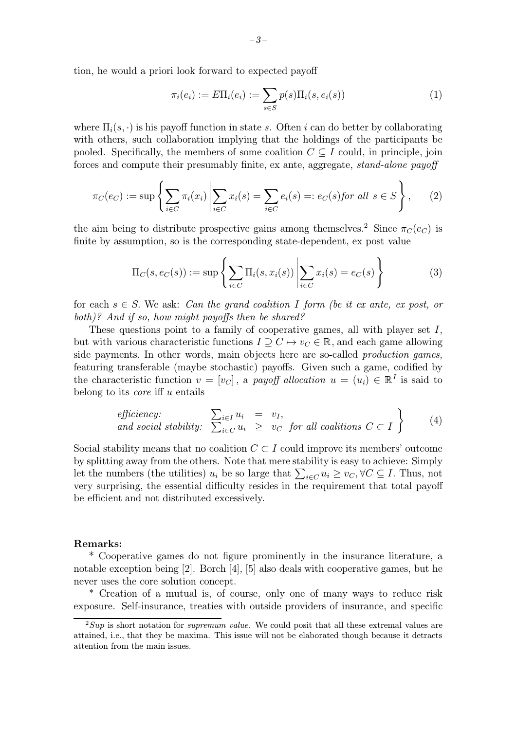tion, he would a priori look forward to expected payoff

$$
\pi_i(e_i) := E\Pi_i(e_i) := \sum_{s \in S} p(s) \Pi_i(s, e_i(s))
$$
\n(1)

where  $\Pi_i(s, \cdot)$  is his payoff function in state s. Often i can do better by collaborating with others, such collaboration implying that the holdings of the participants be pooled. Specifically, the members of some coalition  $C \subseteq I$  could, in principle, join forces and compute their presumably finite, ex ante, aggregate, *stand-alone payoff* 

$$
\pi_C(e_C) := \sup \left\{ \sum_{i \in C} \pi_i(x_i) \middle| \sum_{i \in C} x_i(s) = \sum_{i \in C} e_i(s) =: e_C(s) \text{ for all } s \in S \right\}, \tag{2}
$$

the aim being to distribute prospective gains among themselves.<sup>2</sup> Since  $\pi_C(e_C)$  is finite by assumption, so is the corresponding state-dependent, ex post value

$$
\Pi_C(s, e_C(s)) := \sup \left\{ \sum_{i \in C} \Pi_i(s, x_i(s)) \middle| \sum_{i \in C} x_i(s) = e_C(s) \right\} \tag{3}
$$

for each  $s \in S$ . We ask: Can the grand coalition I form (be it ex ante, ex post, or both)? And if so, how might payoffs then be shared?

These questions point to a family of cooperative games, all with player set  $I$ , but with various characteristic functions  $I \supset C \mapsto v_C \in \mathbb{R}$ , and each game allowing side payments. In other words, main objects here are so-called *production games*, featuring transferable (maybe stochastic) payoffs. Given such a game, codified by the characteristic function  $v = [v_C]$ , a payoff allocation  $u = (u_i) \in \mathbb{R}^I$  is said to belong to its *core* if  $\alpha$  entails

*efficiency:*  
and social stability: 
$$
\sum_{i \in C} u_i = v_I,
$$
  

$$
\sum_{i \in C} u_i \geq v_C
$$
 for all coalitions  $C \subset I$  (4)

Social stability means that no coalition  $C \subset I$  could improve its members' outcome by splitting away from the others. Note that mere stability is easy to achieve: Simply let the numbers (the utilities)  $u_i$  be so large that  $\sum_{i \in C} u_i \geq v_C$ ,  $\forall C \subseteq I$ . Thus, not very surprising, the essential difficulty resides in the requirement that total payoff be efficient and not distributed excessively.

#### Remarks:

\* Cooperative games do not figure prominently in the insurance literature, a notable exception being [2]. Borch [4], [5] also deals with cooperative games, but he never uses the core solution concept.

\* Creation of a mutual is, of course, only one of many ways to reduce risk exposure. Self-insurance, treaties with outside providers of insurance, and specific

 $2Sup$  is short notation for *supremum value*. We could posit that all these extremal values are attained, i.e., that they be maxima. This issue will not be elaborated though because it detracts attention from the main issues.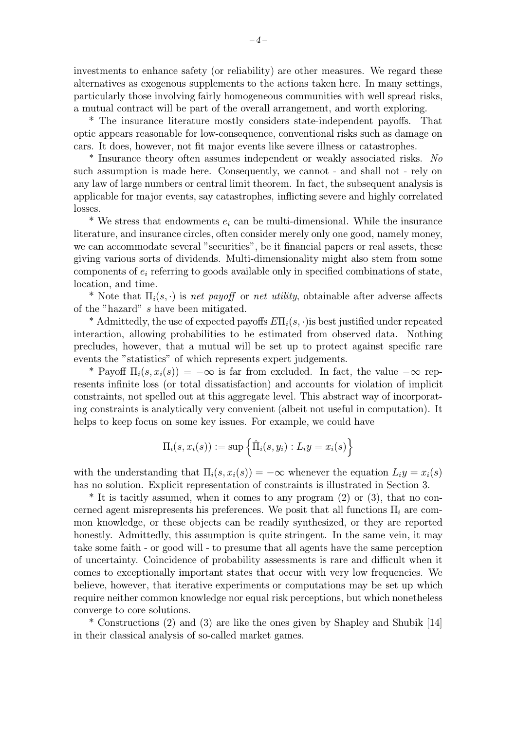investments to enhance safety (or reliability) are other measures. We regard these alternatives as exogenous supplements to the actions taken here. In many settings, particularly those involving fairly homogeneous communities with well spread risks, a mutual contract will be part of the overall arrangement, and worth exploring.

\* The insurance literature mostly considers state-independent payoffs. That optic appears reasonable for low-consequence, conventional risks such as damage on cars. It does, however, not fit major events like severe illness or catastrophes.

\* Insurance theory often assumes independent or weakly associated risks. No such assumption is made here. Consequently, we cannot - and shall not - rely on any law of large numbers or central limit theorem. In fact, the subsequent analysis is applicable for major events, say catastrophes, inflicting severe and highly correlated losses.

 $*$  We stress that endowments  $e_i$  can be multi-dimensional. While the insurance literature, and insurance circles, often consider merely only one good, namely money, we can accommodate several "securities", be it financial papers or real assets, these giving various sorts of dividends. Multi-dimensionality might also stem from some components of  $e_i$  referring to goods available only in specified combinations of state, location, and time.

\* Note that  $\Pi_i(s, \cdot)$  is net payoff or net utility, obtainable after adverse affects of the "hazard" s have been mitigated.

\* Admittedly, the use of expected payoffs  $E\Pi_i(s, \cdot)$  is best justified under repeated interaction, allowing probabilities to be estimated from observed data. Nothing precludes, however, that a mutual will be set up to protect against specific rare events the "statistics" of which represents expert judgements.

\* Payoff  $\Pi_i(s, x_i(s)) = -\infty$  is far from excluded. In fact, the value  $-\infty$  represents infinite loss (or total dissatisfaction) and accounts for violation of implicit constraints, not spelled out at this aggregate level. This abstract way of incorporating constraints is analytically very convenient (albeit not useful in computation). It helps to keep focus on some key issues. For example, we could have

$$
\Pi_i(s, x_i(s)) := \sup \left\{ \hat{\Pi}_i(s, y_i) : L_i y = x_i(s) \right\}
$$

with the understanding that  $\Pi_i(s, x_i(s)) = -\infty$  whenever the equation  $L_i y = x_i(s)$ has no solution. Explicit representation of constraints is illustrated in Section 3.

\* It is tacitly assumed, when it comes to any program (2) or (3), that no concerned agent misrepresents his preferences. We posit that all functions  $\Pi_i$  are common knowledge, or these objects can be readily synthesized, or they are reported honestly. Admittedly, this assumption is quite stringent. In the same vein, it may take some faith - or good will - to presume that all agents have the same perception of uncertainty. Coincidence of probability assessments is rare and difficult when it comes to exceptionally important states that occur with very low frequencies. We believe, however, that iterative experiments or computations may be set up which require neither common knowledge nor equal risk perceptions, but which nonetheless converge to core solutions.

\* Constructions (2) and (3) are like the ones given by Shapley and Shubik [14] in their classical analysis of so-called market games.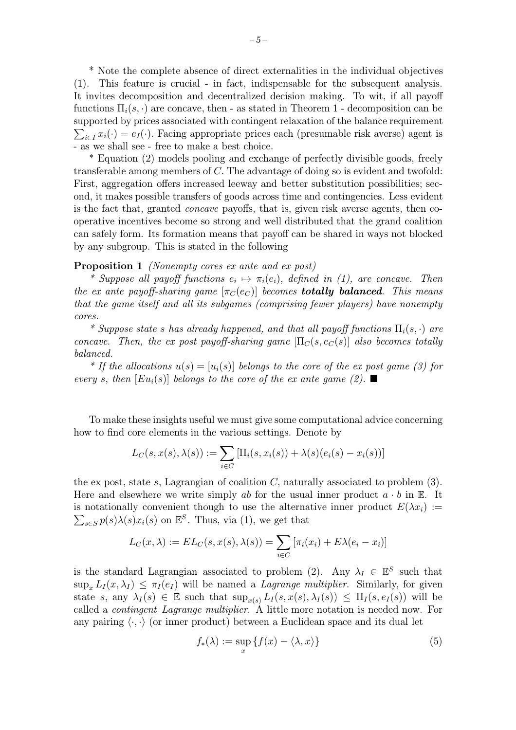\* Note the complete absence of direct externalities in the individual objectives (1). This feature is crucial - in fact, indispensable for the subsequent analysis. It invites decomposition and decentralized decision making. To wit, if all payoff functions  $\Pi_i(s, \cdot)$  are concave, then - as stated in Theorem 1 - decomposition can be supported by prices associated with contingent relaxation of the balance requirement  $\sum_{i\in I} x_i(\cdot) = e_I(\cdot)$ . Facing appropriate prices each (presumable risk averse) agent is - as we shall see - free to make a best choice.

\* Equation (2) models pooling and exchange of perfectly divisible goods, freely transferable among members of C. The advantage of doing so is evident and twofold: First, aggregation offers increased leeway and better substitution possibilities; second, it makes possible transfers of goods across time and contingencies. Less evident is the fact that, granted concave payoffs, that is, given risk averse agents, then cooperative incentives become so strong and well distributed that the grand coalition can safely form. Its formation means that payoff can be shared in ways not blocked by any subgroup. This is stated in the following

#### Proposition 1 *(Nonempty cores ex ante and ex post)*

\* Suppose all payoff functions  $e_i \mapsto \pi_i(e_i)$ , defined in (1), are concave. Then the ex ante payoff-sharing game  $[\pi_C(e_C)]$  becomes **totally balanced**. This means that the game itself and all its subgames (comprising fewer players) have nonempty cores.

\* Suppose state s has already happened, and that all payoff functions  $\Pi_i(s, \cdot)$  are concave. Then, the ex post payoff-sharing game  $[\Pi_C(s, e_C(s)]$  also becomes totally balanced.

\* If the allocations  $u(s)=[u_i(s)]$  belongs to the core of the ex post game (3) for every s, then  $[Eu_i(s)]$  belongs to the core of the ex ante game (2).

To make these insights useful we must give some computational advice concerning how to find core elements in the various settings. Denote by

$$
L_C(s, x(s), \lambda(s)) := \sum_{i \in C} \left[ \Pi_i(s, x_i(s)) + \lambda(s)(e_i(s) - x_i(s)) \right]
$$

the ex post, state s, Lagrangian of coalition  $C$ , naturally associated to problem  $(3)$ . Here and elsewhere we write simply ab for the usual inner product  $a \cdot b$  in E. It  $\sum_{s\in S} p(s)\lambda(s)x_i(s)$  on  $\mathbb{E}^S$ . Thus, via (1), we get that is notationally convenient though to use the alternative inner product  $E(\lambda x_i) :=$ 

$$
L_C(x,\lambda) := EL_C(s,x(s),\lambda(s)) = \sum_{i \in C} [\pi_i(x_i) + E\lambda(e_i - x_i)]
$$

is the standard Lagrangian associated to problem (2). Any  $\lambda_I \in \mathbb{E}^S$  such that  $\sup_{x} L_I(x, \lambda_I) \leq \pi_I(e_I)$  will be named a *Lagrange multiplier*. Similarly, for given state s, any  $\lambda_I(s) \in \mathbb{E}$  such that  $\sup_{x(s)} L_I(s, x(s), \lambda_I(s)) \leq \Pi_I(s, e_I(s))$  will be called a contingent Lagrange multiplier. A little more notation is needed now. For any pairing  $\langle \cdot, \cdot \rangle$  (or inner product) between a Euclidean space and its dual let

$$
f_*(\lambda) := \sup_x \{ f(x) - \langle \lambda, x \rangle \}
$$
 (5)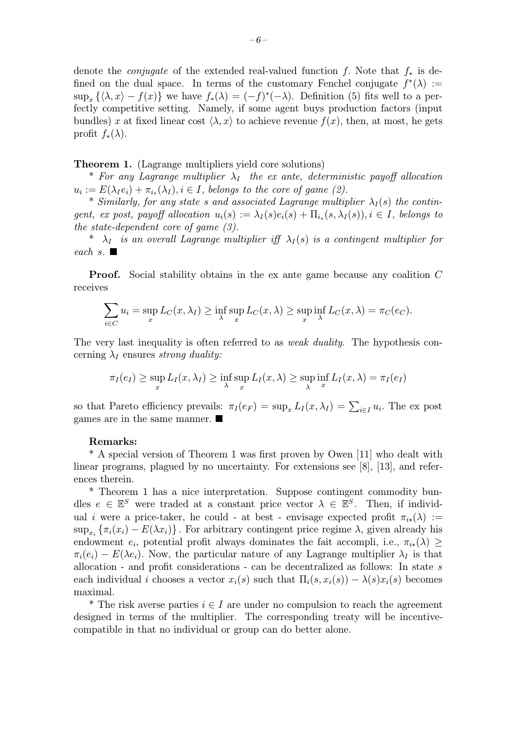denote the *conjugate* of the extended real-valued function f. Note that  $f_*$  is defined on the dual space. In terms of the customary Fenchel conjugate  $f^*(\lambda) :=$  $\sup_x {\{\lambda, x\} - f(x)}$  we have  $f_*(\lambda) = (-f)^*(-\lambda)$ . Definition (5) fits well to a perfectly competitive setting. Namely, if some agent buys production factors (input bundles) x at fixed linear cost  $\langle \lambda, x \rangle$  to achieve revenue  $f(x)$ , then, at most, he gets profit  $f_*(\lambda)$ .

Theorem 1. (Lagrange multipliers yield core solutions)

\* For any Lagrange multiplier  $\lambda_I$  the ex ante, deterministic payoff allocation  $u_i := E(\lambda_I e_i) + \pi_{i_*}(\lambda_I), i \in I$ , belongs to the core of game (2).

\* Similarly, for any state s and associated Lagrange multiplier  $\lambda_I(s)$  the contingent, ex post, payoff allocation  $u_i(s) := \lambda_I(s)e_i(s) + \Pi_{i_*}(s, \lambda_I(s)), i \in I$ , belongs to the state-dependent core of game  $(3)$ .

\*  $\lambda_I$  is an overall Lagrange multiplier iff  $\lambda_I(s)$  is a contingent multiplier for each s.  $\blacksquare$ 

Proof. Social stability obtains in the ex ante game because any coalition C receives

$$
\sum_{i \in C} u_i = \sup_x L_C(x, \lambda_I) \ge \inf_{\lambda} \sup_x L_C(x, \lambda) \ge \sup_x \inf_{\lambda} L_C(x, \lambda) = \pi_C(e_C).
$$

The very last inequality is often referred to as *weak duality*. The hypothesis concerning  $\lambda_I$  ensures strong duality:

$$
\pi_I(e_I) \ge \sup_x L_I(x,\lambda_I) \ge \inf_{\lambda} \sup_x L_I(x,\lambda) \ge \sup_{\lambda} \inf_x L_I(x,\lambda) = \pi_I(e_I)
$$

so that Pareto efficiency prevails:  $\pi_I(e_F) = \sup_x L_I(x, \lambda_I) = \sum_{i \in I} u_i$ . The expost games are in the same manner.

#### Remarks:

\* A special version of Theorem 1 was first proven by Owen [11] who dealt with linear programs, plagued by no uncertainty. For extensions see [8], [13], and references therein.

\* Theorem 1 has a nice interpretation. Suppose contingent commodity bundles  $e \in \mathbb{E}^S$  were traded at a constant price vector  $\lambda \in \mathbb{E}^S$ . Then, if individual i were a price-taker, he could - at best - envisage expected profit  $\pi_{i*}(\lambda) :=$  $\sup_{x_i} {\{\pi_i(x_i) - E(\lambda x_i)\}}$ . For arbitrary contingent price regime  $\lambda$ , given already his endowment  $e_i$ , potential profit always dominates the fait accompli, i.e.,  $\pi_{i*}(\lambda) \geq$  $\pi_i(e_i) - E(\lambda e_i)$ . Now, the particular nature of any Lagrange multiplier  $\lambda_i$  is that allocation - and profit considerations - can be decentralized as follows: In state s each individual i chooses a vector  $x_i(s)$  such that  $\Pi_i(s, x_i(s)) - \lambda(s)x_i(s)$  becomes maximal.

<sup>\*</sup> The risk averse parties  $i \in I$  are under no compulsion to reach the agreement designed in terms of the multiplier. The corresponding treaty will be incentivecompatible in that no individual or group can do better alone.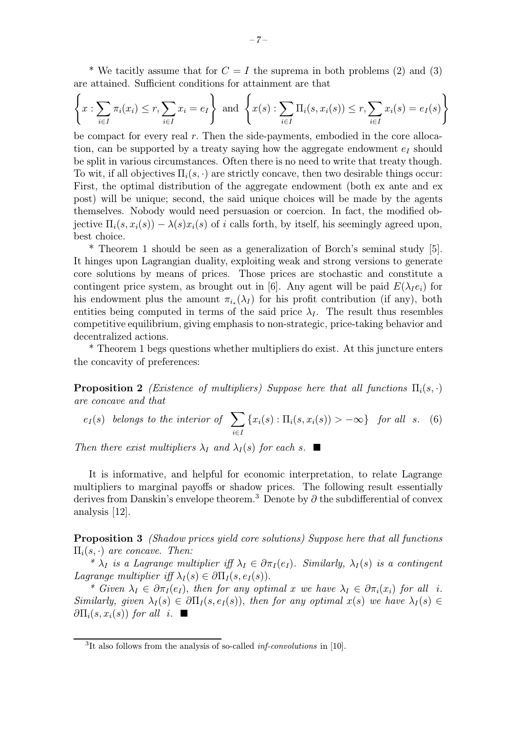\* We tacitly assume that for  $C = I$  the suprema in both problems (2) and (3) are attained. Sufficient conditions for attainment are that

$$
\left\{x:\sum_{i\in I}\pi_i(x_i)\leq r,\sum_{i\in I}x_i=e_I\right\}\text{ and }\left\{x(s):\sum_{i\in I}\Pi_i(s,x_i(s))\leq r,\sum_{i\in I}x_i(s)=e_I(s)\right\}
$$

be compact for every real r. Then the side-payments, embodied in the core allocation, can be supported by a treaty saying how the aggregate endowment  $e_I$  should be split in various circumstances. Often there is no need to write that treaty though. To wit, if all objectives  $\Pi_i(s, \cdot)$  are strictly concave, then two desirable things occur: First, the optimal distribution of the aggregate endowment (both ex ante and ex post) will be unique; second, the said unique choices will be made by the agents themselves. Nobody would need persuasion or coercion. In fact, the modified objective  $\Pi_i(s, x_i(s)) - \lambda(s)x_i(s)$  of i calls forth, by itself, his seemingly agreed upon, best choice.

\* Theorem 1 should be seen as a generalization of Borch's seminal study [5]. It hinges upon Lagrangian duality, exploiting weak and strong versions to generate core solutions by means of prices. Those prices are stochastic and constitute a contingent price system, as brought out in [6]. Any agent will be paid  $E(\lambda_I e_i)$  for his endowment plus the amount  $\pi_{i*}(\lambda_I)$  for his profit contribution (if any), both entities being computed in terms of the said price  $\lambda_I$ . The result thus resembles competitive equilibrium, giving emphasis to non-strategic, price-taking behavior and decentralized actions.

\* Theorem 1 begs questions whether multipliers do exist. At this juncture enters the concavity of preferences:

**Proposition 2** (Existence of multipliers) Suppose here that all functions  $\Pi_i(s, \cdot)$ are concave and that

$$
e_I(s)
$$
 belongs to the interior of  $\sum_{i \in I} \{x_i(s) : \Pi_i(s, x_i(s)) > -\infty\}$  for all s. (6)

Then there exist multipliers  $\lambda_I$  and  $\lambda_I(s)$  for each s.  $\blacksquare$ 

It is informative, and helpful for economic interpretation, to relate Lagrange multipliers to marginal payoffs or shadow prices. The following result essentially derives from Danskin's envelope theorem.<sup>3</sup> Denote by  $\partial$  the subdifferential of convex analysis [12].

Proposition 3 (Shadow prices yield core solutions) Suppose here that all functions  $\Pi_i(s, \cdot)$  are concave. Then:

\*  $\lambda_I$  is a Lagrange multiplier iff  $\lambda_I \in \partial \pi_I(e_I)$ . Similarly,  $\lambda_I(s)$  is a contingent Lagrange multiplier iff  $\lambda_I(s) \in \partial \Pi_I(s, e_I(s))$ .

\* Given  $\lambda_I \in \partial \pi_I(e_I)$ , then for any optimal x we have  $\lambda_I \in \partial \pi_i(x_i)$  for all i. Similarly, given  $\lambda_I(s) \in \partial \Pi_I(s, e_I(s))$ , then for any optimal  $x(s)$  we have  $\lambda_I(s) \in$  $\partial \Pi_i(s, x_i(s))$  for all i.

<sup>&</sup>lt;sup>3</sup>It also follows from the analysis of so-called *inf-convolutions* in [10].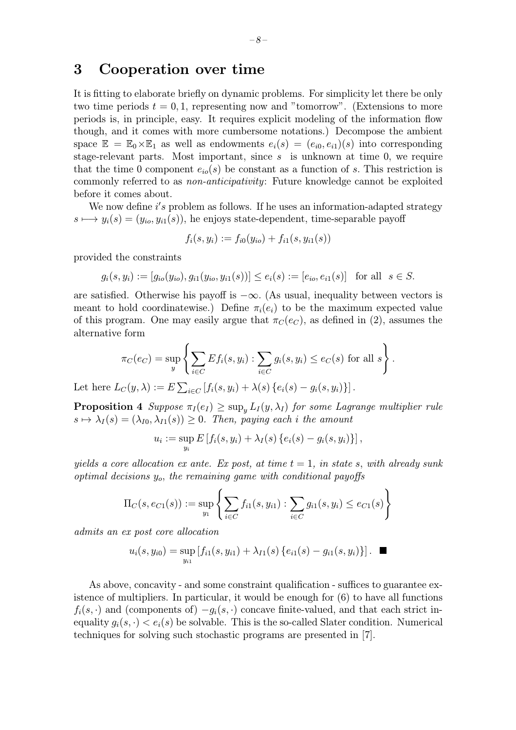### 3 Cooperation over time

It is fitting to elaborate briefly on dynamic problems. For simplicity let there be only two time periods  $t = 0, 1$ , representing now and "tomorrow". (Extensions to more periods is, in principle, easy. It requires explicit modeling of the information flow though, and it comes with more cumbersome notations.) Decompose the ambient space  $\mathbb{E} = \mathbb{E}_0 \times \mathbb{E}_1$  as well as endowments  $e_i(s)=(e_{i0}, e_{i1})(s)$  into corresponding stage-relevant parts. Most important, since  $s$  is unknown at time 0, we require that the time 0 component  $e_{io}(s)$  be constant as a function of s. This restriction is commonly referred to as non-anticipativity: Future knowledge cannot be exploited before it comes about.

We now define  $i's$  problem as follows. If he uses an information-adapted strategy  $s \mapsto y_i(s)=(y_{io}, y_{i1}(s))$ , he enjoys state-dependent, time-separable payoff

$$
f_i(s,y_i) := f_{i0}(y_{io}) + f_{i1}(s,y_{i1}(s))
$$

provided the constraints

$$
g_i(s, y_i) := [g_{io}(y_{io}), g_{i1}(y_{io}, y_{i1}(s))] \le e_i(s) := [e_{io}, e_{i1}(s)]
$$
 for all  $s \in S$ .

are satisfied. Otherwise his payoff is  $-\infty$ . (As usual, inequality between vectors is meant to hold coordinatewise.) Define  $\pi_i(e_i)$  to be the maximum expected value of this program. One may easily argue that  $\pi_C(e_C)$ , as defined in (2), assumes the alternative form

$$
\pi_C(e_C) = \sup_y \left\{ \sum_{i \in C} Ef_i(s, y_i) : \sum_{i \in C} g_i(s, y_i) \le e_C(s) \text{ for all } s \right\}.
$$

Let here  $L_C(y, \lambda) := E \sum_{i \in C} [f_i(s, y_i) + \lambda(s) \{e_i(s) - g_i(s, y_i)\}]$ .

**Proposition 4** Suppose  $\pi_I(e_I) \geq \sup_v L_I(y, \lambda_I)$  for some Lagrange multiplier rule  $s \mapsto \lambda_I(s)=(\lambda_{I0}, \lambda_{I1}(s)) \geq 0$ . Then, paying each i the amount

$$
u_i := \sup_{y_i} E[f_i(s, y_i) + \lambda_I(s) \{e_i(s) - g_i(s, y_i)\}],
$$

yields a core allocation ex ante. Ex post, at time  $t = 1$ , in state s, with already sunk optimal decisions yo, the remaining game with conditional payoffs

$$
\Pi_C(s, e_{C1}(s)) := \sup_{y_1} \left\{ \sum_{i \in C} f_{i1}(s, y_{i1}) : \sum_{i \in C} g_{i1}(s, y_i) \le e_{C1}(s) \right\}
$$

admits an ex post core allocation

$$
u_i(s,y_{i0}) = \sup_{y_{i1}} [f_{i1}(s,y_{i1}) + \lambda_{I1}(s) \{e_{i1}(s) - g_{i1}(s,y_i)\}]. \quad \blacksquare
$$

As above, concavity - and some constraint qualification - suffices to guarantee existence of multipliers. In particular, it would be enough for (6) to have all functions  $f_i(s, \cdot)$  and (components of)  $-g_i(s, \cdot)$  concave finite-valued, and that each strict inequality  $g_i(s, \cdot) < e_i(s)$  be solvable. This is the so-called Slater condition. Numerical techniques for solving such stochastic programs are presented in [7].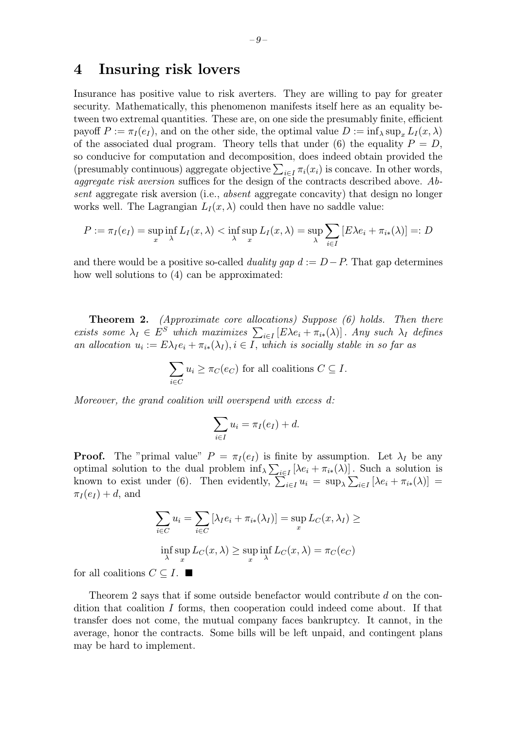### 4 Insuring risk lovers

Insurance has positive value to risk averters. They are willing to pay for greater security. Mathematically, this phenomenon manifests itself here as an equality between two extremal quantities. These are, on one side the presumably finite, efficient payoff  $P := \pi_I(e_I)$ , and on the other side, the optimal value  $D := \inf_{\lambda} \sup_{x} L_I(x, \lambda)$ of the associated dual program. Theory tells that under (6) the equality  $P = D$ , so conducive for computation and decomposition, does indeed obtain provided the (presumably continuous) aggregate objective  $\sum_{i\in I} \pi_i(x_i)$  is concave. In other words, aggregate risk aversion suffices for the design of the contracts described above.  $Ab$ sent aggregate risk aversion (i.e., absent aggregate concavity) that design no longer works well. The Lagrangian  $L_I(x, \lambda)$  could then have no saddle value:

$$
P := \pi_I(e_I) = \sup_x \inf_\lambda L_I(x,\lambda) < \inf_\lambda \sup_x L_I(x,\lambda) = \sup_\lambda \sum_{i \in I} [E\lambda e_i + \pi_{i*}(\lambda)] =: D
$$

and there would be a positive so-called *duality gap*  $d := D - P$ . That gap determines how well solutions to (4) can be approximated:

Theorem 2. (Approximate core allocations) Suppose (6) holds. Then there exists some  $\lambda_I \in E^S$  which maximizes  $\sum_{i \in I} [E \lambda e_i + \pi_{i*}(\lambda)]$ . Any such  $\lambda_I$  defines an allocation  $u_i := E \lambda_I e_i + \pi_{i*}(\lambda_I), i \in I$ , which is socially stable in so far as

$$
\sum_{i \in C} u_i \ge \pi_C(e_C)
$$
 for all coalitions  $C \subseteq I$ .

Moreover, the grand coalition will overspend with excess d:

$$
\sum_{i\in I} u_i = \pi_I(e_I) + d.
$$

**Proof.** The "primal value"  $P = \pi_I(e_I)$  is finite by assumption. Let  $\lambda_I$  be any optimal solution to the dual problem  $\inf_{\lambda} \sum_{i \in I} [\lambda e_i + \pi_{i*}(\lambda)]$ . Such a solution is known to exist under (6). Then evidently,  $\sum_{i\in I} u_i = \sup_{\lambda} \sum_{i\in I} [\lambda e_i + \pi_{i*}(\lambda)] =$  $\pi_I(e_I) + d$ , and

$$
\sum_{i \in C} u_i = \sum_{i \in C} [\lambda_I e_i + \pi_{i*} (\lambda_I)] = \sup_x L_C(x, \lambda_I) \ge
$$
  

$$
\inf_{\lambda} \sup_x L_C(x, \lambda) \ge \sup_x \inf_{\lambda} L_C(x, \lambda) = \pi_C(e_C)
$$

for all coalitions  $C \subseteq I$ .  $\blacksquare$ 

Theorem 2 says that if some outside benefactor would contribute d on the condition that coalition I forms, then cooperation could indeed come about. If that transfer does not come, the mutual company faces bankruptcy. It cannot, in the average, honor the contracts. Some bills will be left unpaid, and contingent plans may be hard to implement.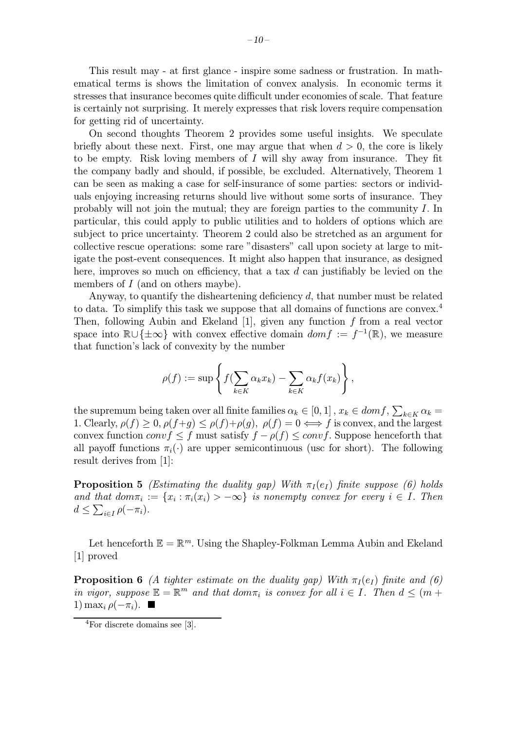This result may - at first glance - inspire some sadness or frustration. In mathematical terms is shows the limitation of convex analysis. In economic terms it stresses that insurance becomes quite difficult under economies of scale. That feature is certainly not surprising. It merely expresses that risk lovers require compensation for getting rid of uncertainty.

On second thoughts Theorem 2 provides some useful insights. We speculate briefly about these next. First, one may argue that when  $d > 0$ , the core is likely to be empty. Risk loving members of  $I$  will shy away from insurance. They fit the company badly and should, if possible, be excluded. Alternatively, Theorem 1 can be seen as making a case for self-insurance of some parties: sectors or individuals enjoying increasing returns should live without some sorts of insurance. They probably will not join the mutual; they are foreign parties to the community I. In particular, this could apply to public utilities and to holders of options which are subject to price uncertainty. Theorem 2 could also be stretched as an argument for collective rescue operations: some rare "disasters" call upon society at large to mitigate the post-event consequences. It might also happen that insurance, as designed here, improves so much on efficiency, that a tax  $d$  can justifiably be levied on the members of I (and on others maybe).

Anyway, to quantify the disheartening deficiency  $d$ , that number must be related to data. To simplify this task we suppose that all domains of functions are convex.<sup>4</sup> Then, following Aubin and Ekeland  $[1]$ , given any function f from a real vector space into  $\mathbb{R}\cup\{\pm\infty\}$  with convex effective domain  $dom f := f^{-1}(\mathbb{R})$ , we measure that function's lack of convexity by the number

$$
\rho(f) := \sup \left\{ f(\sum_{k \in K} \alpha_k x_k) - \sum_{k \in K} \alpha_k f(x_k) \right\},\,
$$

the supremum being taken over all finite families  $\alpha_k \in [0,1]$ ,  $x_k \in dom f$ ,  $\sum_{k \in K} \alpha_k =$ 1. Clearly,  $\rho(f) \geq 0$ ,  $\rho(f+g) \leq \rho(f)+\rho(g)$ ,  $\rho(f) = 0 \iff f$  is convex, and the largest convex function conv $f \leq f$  must satisfy  $f - \rho(f) \leq \text{conv } f$ . Suppose henceforth that all payoff functions  $\pi_i(\cdot)$  are upper semicontinuous (usc for short). The following result derives from [1]:

**Proposition 5** (Estimating the duality gap) With  $\pi_I(e_I)$  finite suppose (6) holds and that  $dom\pi_i := \{x_i : \pi_i(x_i) > -\infty\}$  is nonempty convex for every  $i \in I$ . Then  $d \leq \sum_{i \in I} \rho(-\pi_i).$ 

Let henceforth  $\mathbb{E} = \mathbb{R}^m$ . Using the Shapley-Folkman Lemma Aubin and Ekeland [1] proved

**Proposition 6** (A tighter estimate on the duality gap) With  $\pi_I(e_I)$  finite and (6) in vigor, suppose  $\mathbb{E} = \mathbb{R}^m$  and that dom $\pi_i$  is convex for all  $i \in I$ . Then  $d \leq (m +$ 1) max<sub>i</sub>  $ρ(−π<sub>i</sub>)$ .  $\blacksquare$ 

<sup>4</sup>For discrete domains see [3].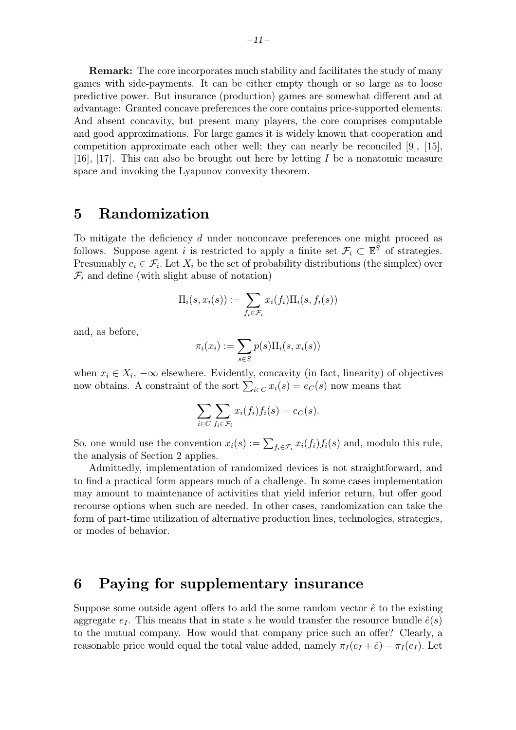Remark: The core incorporates much stability and facilitates the study of many games with side-payments. It can be either empty though or so large as to loose predictive power. But insurance (production) games are somewhat different and at advantage: Granted concave preferences the core contains price-supported elements. And absent concavity, but present many players, the core comprises computable and good approximations. For large games it is widely known that cooperation and competition approximate each other well; they can nearly be reconciled [9], [15], [16], [17]. This can also be brought out here by letting I be a nonatomic measure space and invoking the Lyapunov convexity theorem.

## 5 Randomization

To mitigate the deficiency d under nonconcave preferences one might proceed as follows. Suppose agent i is restricted to apply a finite set  $\mathcal{F}_i \subset \mathbb{E}^S$  of strategies. Presumably  $e_i \in \mathcal{F}_i$ . Let  $X_i$  be the set of probability distributions (the simplex) over  $\mathcal{F}_i$  and define (with slight abuse of notation)

$$
\Pi_i(s, x_i(s)) := \sum_{f_i \in \mathcal{F}_i} x_i(f_i) \Pi_i(s, f_i(s))
$$

and, as before,

$$
\pi_i(x_i) := \sum_{s \in S} p(s) \Pi_i(s, x_i(s))
$$

when  $x_i \in X_i$ ,  $-\infty$  elsewhere. Evidently, concavity (in fact, linearity) of objectives now obtains. A constraint of the sort  $\sum_{i \in C} x_i(s) = e_C(s)$  now means that

$$
\sum_{i \in C} \sum_{f_i \in \mathcal{F}_i} x_i(f_i) f_i(s) = e_C(s).
$$

So, one would use the convention  $x_i(s) := \sum_{f_i \in \mathcal{F}_i} x_i(f_i) f_i(s)$  and, modulo this rule, the analysis of Section 2 applies.

Admittedly, implementation of randomized devices is not straightforward, and to find a practical form appears much of a challenge. In some cases implementation may amount to maintenance of activities that yield inferior return, but offer good recourse options when such are needed. In other cases, randomization can take the form of part-time utilization of alternative production lines, technologies, strategies, or modes of behavior.

### 6 Paying for supplementary insurance

Suppose some outside agent offers to add the some random vector  $\hat{e}$  to the existing aggregate  $e_I$ . This means that in state s he would transfer the resource bundle  $\hat{e}(s)$ to the mutual company. How would that company price such an offer? Clearly, a reasonable price would equal the total value added, namely  $\pi_I (e_I + \hat{e}) - \pi_I (e_I)$ . Let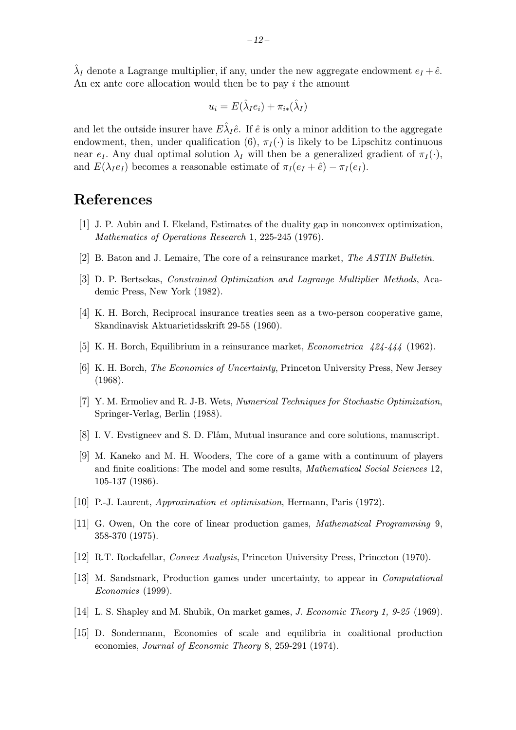$\lambda_I$  denote a Lagrange multiplier, if any, under the new aggregate endowment  $e_I + \hat{e}$ . An ex ante core allocation would then be to pay i the amount

$$
u_i = E(\hat{\lambda}_I e_i) + \pi_{i*}(\hat{\lambda}_I)
$$

and let the outside insurer have  $E\hat{\lambda}_I\hat{e}$ . If  $\hat{e}$  is only a minor addition to the aggregate endowment, then, under qualification (6),  $\pi_I(\cdot)$  is likely to be Lipschitz continuous near  $e_I$ . Any dual optimal solution  $\lambda_I$  will then be a generalized gradient of  $\pi_I(\cdot)$ , and  $E(\lambda_I e_I)$  becomes a reasonable estimate of  $\pi_I(e_I + \hat{e}) - \pi_I(e_I)$ .

# References

- [1] J. P. Aubin and I. Ekeland, Estimates of the duality gap in nonconvex optimization, Mathematics of Operations Research 1, 225-245 (1976).
- [2] B. Baton and J. Lemaire, The core of a reinsurance market, The ASTIN Bulletin.
- [3] D. P. Bertsekas, Constrained Optimization and Lagrange Multiplier Methods, Academic Press, New York (1982).
- [4] K. H. Borch, Reciprocal insurance treaties seen as a two-person cooperative game, Skandinavisk Aktuarietidsskrift 29-58 (1960).
- [5] K. H. Borch, Equilibrium in a reinsurance market, Econometrica 424-444 (1962).
- [6] K. H. Borch, The Economics of Uncertainty, Princeton University Press, New Jersey (1968).
- [7] Y. M. Ermoliev and R. J-B. Wets, Numerical Techniques for Stochastic Optimization, Springer-Verlag, Berlin (1988).
- [8] I. V. Evstigneev and S. D. Flåm, Mutual insurance and core solutions, manuscript.
- [9] M. Kaneko and M. H. Wooders, The core of a game with a continuum of players and finite coalitions: The model and some results, Mathematical Social Sciences 12, 105-137 (1986).
- [10] P.-J. Laurent, Approximation et optimisation, Hermann, Paris (1972).
- [11] G. Owen, On the core of linear production games, Mathematical Programming 9, 358-370(1975).
- [12] R.T. Rockafellar, Convex Analysis, Princeton University Press, Princeton (1970).
- [13] M. Sandsmark, Production games under uncertainty, to appear in Computational Economics (1999).
- [14] L. S. Shapley and M. Shubik, On market games, J. Economic Theory 1, 9-25 (1969).
- [15] D. Sondermann, Economies of scale and equilibria in coalitional production economies, Journal of Economic Theory 8, 259-291 (1974).